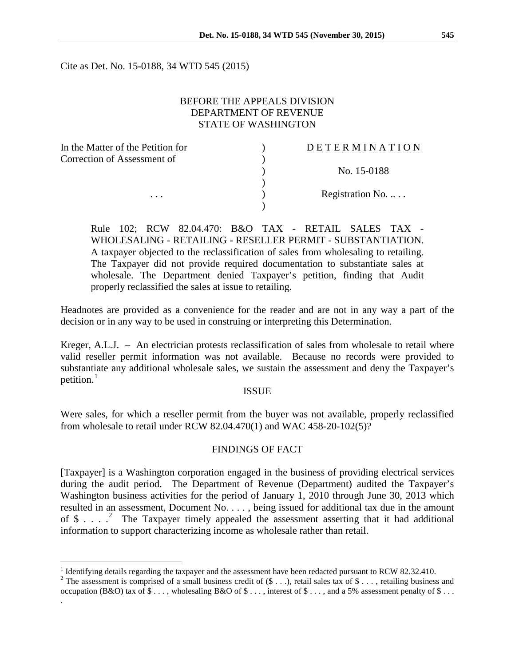Cite as Det. No. 15-0188, 34 WTD 545 (2015)

## BEFORE THE APPEALS DIVISION DEPARTMENT OF REVENUE STATE OF WASHINGTON

| In the Matter of the Petition for | DETERMINATION    |
|-----------------------------------|------------------|
| Correction of Assessment of       |                  |
|                                   | No. 15-0188      |
|                                   |                  |
| $\cdots$                          | Registration No. |
|                                   |                  |

Rule 102; RCW 82.04.470: B&O TAX - RETAIL SALES TAX - WHOLESALING - RETAILING - RESELLER PERMIT - SUBSTANTIATION. A taxpayer objected to the reclassification of sales from wholesaling to retailing. The Taxpayer did not provide required documentation to substantiate sales at wholesale. The Department denied Taxpayer's petition, finding that Audit properly reclassified the sales at issue to retailing.

Headnotes are provided as a convenience for the reader and are not in any way a part of the decision or in any way to be used in construing or interpreting this Determination.

Kreger, A.L.J. – An electrician protests reclassification of sales from wholesale to retail where valid reseller permit information was not available. Because no records were provided to substantiate any additional wholesale sales, we sustain the assessment and deny the Taxpayer's petition. $<sup>1</sup>$  $<sup>1</sup>$  $<sup>1</sup>$ </sup>

#### ISSUE

Were sales, for which a reseller permit from the buyer was not available, properly reclassified from wholesale to retail under RCW 82.04.470(1) and WAC 458-20-102(5)?

## FINDINGS OF FACT

[Taxpayer] is a Washington corporation engaged in the business of providing electrical services during the audit period. The Department of Revenue (Department) audited the Taxpayer's Washington business activities for the period of January 1, 2010 through June 30, 2013 which resulted in an assessment, Document No. . . . , being issued for additional tax due in the amount of  $\$ \dots$ .  $\degree$  The Taxpayer timely appealed the assessment asserting that it had additional information to support characterizing income as wholesale rather than retail.

.

<sup>&</sup>lt;sup>1</sup> Identifying details regarding the taxpayer and the assessment have been redacted pursuant to RCW 82.32.410.

<span id="page-0-1"></span><span id="page-0-0"></span><sup>&</sup>lt;sup>2</sup> The assessment is comprised of a small business credit of  $($ \$ . . .), retail sales tax of \$ . . . , retailing business and occupation (B&O) tax of  $\$\ldots$ , wholesaling B&O of  $\$\ldots$ , interest of  $\$\ldots$ , and a 5% assessment penalty of  $\$\ldots$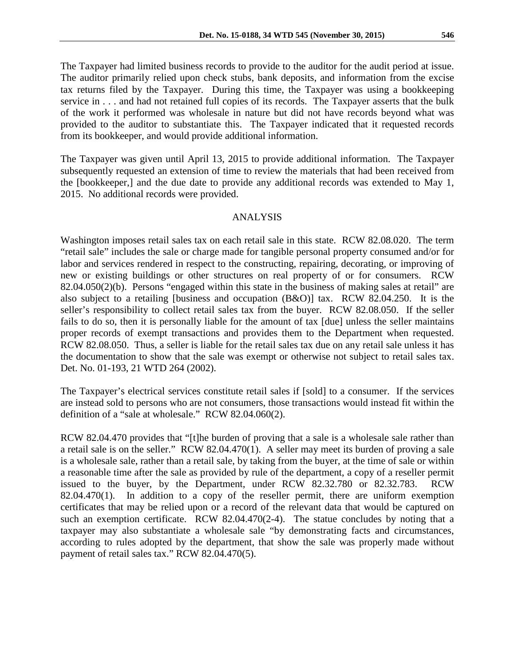The Taxpayer had limited business records to provide to the auditor for the audit period at issue. The auditor primarily relied upon check stubs, bank deposits, and information from the excise tax returns filed by the Taxpayer. During this time, the Taxpayer was using a bookkeeping service in . . . and had not retained full copies of its records. The Taxpayer asserts that the bulk of the work it performed was wholesale in nature but did not have records beyond what was provided to the auditor to substantiate this. The Taxpayer indicated that it requested records from its bookkeeper, and would provide additional information.

The Taxpayer was given until April 13, 2015 to provide additional information. The Taxpayer subsequently requested an extension of time to review the materials that had been received from the [bookkeeper,] and the due date to provide any additional records was extended to May 1, 2015. No additional records were provided.

#### ANALYSIS

Washington imposes retail sales tax on each retail sale in this state. RCW 82.08.020. The term "retail sale" includes the sale or charge made for tangible personal property consumed and/or for labor and services rendered in respect to the constructing, repairing, decorating, or improving of new or existing buildings or other structures on real property of or for consumers. RCW 82.04.050(2)(b). Persons "engaged within this state in the business of making sales at retail" are also subject to a retailing [business and occupation (B&O)] tax. RCW 82.04.250. It is the seller's responsibility to collect retail sales tax from the buyer. RCW 82.08.050. If the seller fails to do so, then it is personally liable for the amount of tax [due] unless the seller maintains proper records of exempt transactions and provides them to the Department when requested. RCW 82.08.050. Thus, a seller is liable for the retail sales tax due on any retail sale unless it has the documentation to show that the sale was exempt or otherwise not subject to retail sales tax. Det. No. 01-193, 21 WTD 264 (2002).

The Taxpayer's electrical services constitute retail sales if [sold] to a consumer. If the services are instead sold to persons who are not consumers, those transactions would instead fit within the definition of a "sale at wholesale." RCW 82.04.060(2).

RCW 82.04.470 provides that "[t]he burden of proving that a sale is a wholesale sale rather than a retail sale is on the seller." RCW 82.04.470(1). A seller may meet its burden of proving a sale is a wholesale sale, rather than a retail sale, by taking from the buyer, at the time of sale or within a reasonable time after the sale as provided by rule of the department, a copy of a reseller permit issued to the buyer, by the Department, under RCW 82.32.780 or 82.32.783. RCW 82.04.470(1). In addition to a copy of the reseller permit, there are uniform exemption certificates that may be relied upon or a record of the relevant data that would be captured on such an exemption certificate. RCW 82.04.470(2-4). The statue concludes by noting that a taxpayer may also substantiate a wholesale sale "by demonstrating facts and circumstances, according to rules adopted by the department, that show the sale was properly made without payment of retail sales tax." RCW 82.04.470(5).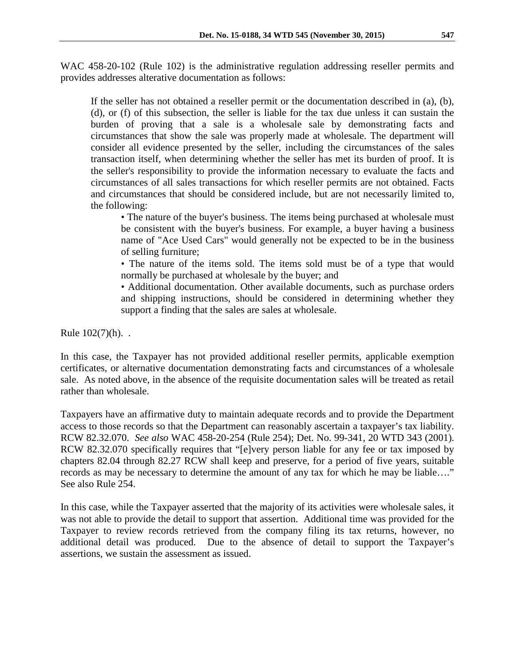WAC 458-20-102 (Rule 102) is the administrative regulation addressing reseller permits and provides addresses alterative documentation as follows:

If the seller has not obtained a reseller permit or the documentation described in (a), (b), (d), or (f) of this subsection, the seller is liable for the tax due unless it can sustain the burden of proving that a sale is a wholesale sale by demonstrating facts and circumstances that show the sale was properly made at wholesale. The department will consider all evidence presented by the seller, including the circumstances of the sales transaction itself, when determining whether the seller has met its burden of proof. It is the seller's responsibility to provide the information necessary to evaluate the facts and circumstances of all sales transactions for which reseller permits are not obtained. Facts and circumstances that should be considered include, but are not necessarily limited to, the following:

• The nature of the buyer's business. The items being purchased at wholesale must be consistent with the buyer's business. For example, a buyer having a business name of "Ace Used Cars" would generally not be expected to be in the business of selling furniture;

• The nature of the items sold. The items sold must be of a type that would normally be purchased at wholesale by the buyer; and

• Additional documentation. Other available documents, such as purchase orders and shipping instructions, should be considered in determining whether they support a finding that the sales are sales at wholesale.

Rule 102(7)(h). .

In this case, the Taxpayer has not provided additional reseller permits, applicable exemption certificates, or alternative documentation demonstrating facts and circumstances of a wholesale sale. As noted above, in the absence of the requisite documentation sales will be treated as retail rather than wholesale.

Taxpayers have an affirmative duty to maintain adequate records and to provide the Department access to those records so that the Department can reasonably ascertain a taxpayer's tax liability. RCW 82.32.070. *See also* WAC 458-20-254 (Rule 254); Det. No. 99-341, 20 WTD 343 (2001). RCW 82.32.070 specifically requires that "[e]very person liable for any fee or tax imposed by chapters 82.04 through 82.27 RCW shall keep and preserve, for a period of five years, suitable records as may be necessary to determine the amount of any tax for which he may be liable…." See also Rule 254.

In this case, while the Taxpayer asserted that the majority of its activities were wholesale sales, it was not able to provide the detail to support that assertion. Additional time was provided for the Taxpayer to review records retrieved from the company filing its tax returns, however, no additional detail was produced. Due to the absence of detail to support the Taxpayer's assertions, we sustain the assessment as issued.